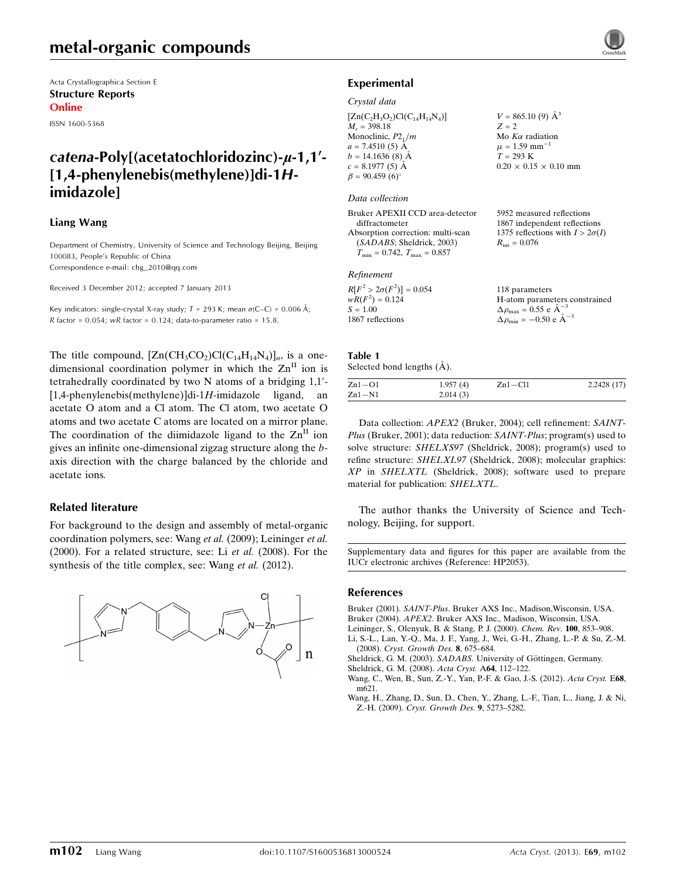Acta Crystallographica Section E Structure Reports Online

ISSN 1600-5368

# catena-Poly[(acetatochloridozinc)-µ-1,1'-[1,4-phenylenebis(methylene)]di-1Himidazole]

### Liang Wang

Department of Chemistry, University of Science and Technology Beijing, Beijing 100083, People's Republic of China Correspondence e-mail: [chg\\_2010@qq.com](https://scripts.iucr.org/cgi-bin/cr.cgi?rm=pdfbb&cnor=hp2053&bbid=BB8)

Received 3 December 2012; accepted 7 January 2013

Key indicators: single-crystal X-ray study;  $T$  = 293 K; mean  $\sigma$ (C–C) = 0.006 Å; R factor =  $0.054$ ; wR factor =  $0.124$ ; data-to-parameter ratio =  $15.8$ .

The title compound,  $[Zn(CH_3CO_2)Cl(C_{14}H_{14}N_4)]_n$ , is a onedimensional coordination polymer in which the  $\text{Zn}^{\text{II}}$  ion is tetrahedrally coordinated by two N atoms of a bridging  $1,1'$ - $[1,4\text{-phenylenebis}$  (methylene)]di-1H-imidazole ligand, an acetate O atom and a Cl atom. The Cl atom, two acetate O atoms and two acetate C atoms are located on a mirror plane. The coordination of the diimidazole ligand to the  $\text{Zn}^{\text{II}}$  ion gives an infinite one-dimensional zigzag structure along the baxis direction with the charge balanced by the chloride and acetate ions.

### Related literature

For background to the design and assembly of metal-organic coordination polymers, see: Wang et al. (2009); Leininger et al. (2000). For a related structure, see: Li et al. (2008). For the synthesis of the title complex, see: Wang et al. (2012).





### Experimental

### Crystal data

 $[Zn(C_2H_3O_2)Cl(C_{14}H_{14}N_4)]$  $M_r = 398.18$ Monoclinic,  $P2_1/m$  $a = 7.4510(5)$  Å  $b = 14.1636(8)$  Å  $c = 8.1977(5)$  Å  $\beta = 90.459(6)$  $V = 865.10(9)$   $\AA^3$  $Z = 2$ Mo  $K\alpha$  radiation  $\mu$  = 1.59 mm<sup>-1</sup>  $T = 293 \text{ K}$  $0.20 \times 0.15 \times 0.10$  mm

#### Data collection

Bruker APEXII CCD area-detector diffractometer Absorption correction: multi-scan (SADABS; Sheldrick, 2003)  $T_{\text{min}} = 0.742, T_{\text{max}} = 0.857$ 

### Refinement

| $R[F^2 > 2\sigma(F^2)] = 0.054$ | 118 parameters                                      |
|---------------------------------|-----------------------------------------------------|
| $wR(F^2) = 0.124$               | H-atom parameters constrained                       |
| $S = 1.00$                      | $\Delta \rho_{\text{max}} = 0.55$ e $\AA^{-3}$      |
| 1867 reflections                | $\Delta \rho_{\text{min}} = -0.50 \text{ e A}^{-3}$ |

5952 measured reflections 1867 independent reflections 1375 reflections with  $I > 2\sigma(I)$ 

 $R_{\text{int}} = 0.076$ 

#### Table 1 Selected bond lengths  $(\AA)$ .

| $Zn1-O1$   | 1.957(4) | $Zn1 - Cl1$ | 2.2428(17) |
|------------|----------|-------------|------------|
| $Zn1 - N1$ | 2.014(3) |             |            |

Data collection: APEX2 (Bruker, 2004); cell refinement: SAINT-Plus (Bruker, 2001); data reduction: SAINT-Plus; program(s) used to solve structure: SHELXS97 (Sheldrick, 2008); program(s) used to refine structure: SHELXL97 (Sheldrick, 2008); molecular graphics: XP in SHELXTL (Sheldrick, 2008); software used to prepare material for publication: SHELXTL.

The author thanks the University of Science and Technology, Beijing, for support.

Supplementary data and figures for this paper are available from the IUCr electronic archives (Reference: HP2053).

### References

- Bruker (2001). SAINT-Plus[. Bruker AXS Inc., Madison,Wisconsin, USA.](https://scripts.iucr.org/cgi-bin/cr.cgi?rm=pdfbb&cnor=hp2053&bbid=BB1) Bruker (2004). APEX2[. Bruker AXS Inc., Madison, Wisconsin, USA.](https://scripts.iucr.org/cgi-bin/cr.cgi?rm=pdfbb&cnor=hp2053&bbid=BB2)
- [Leininger, S., Olenyuk, B. & Stang, P. J. \(2000\).](https://scripts.iucr.org/cgi-bin/cr.cgi?rm=pdfbb&cnor=hp2053&bbid=BB3) Chem. Rev. 100, 853–908.
- [Li, S.-L., Lan, Y.-Q., Ma, J. F., Yang, J., Wei, G.-H., Zhang, L.-P. & Su, Z.-M.](https://scripts.iucr.org/cgi-bin/cr.cgi?rm=pdfbb&cnor=hp2053&bbid=BB4) (2008). [Cryst. Growth Des.](https://scripts.iucr.org/cgi-bin/cr.cgi?rm=pdfbb&cnor=hp2053&bbid=BB4) 8, 675–684.
- Sheldrick, G. M. (2003). SADABS. University of Göttingen, Germany.
- [Sheldrick, G. M. \(2008\).](https://scripts.iucr.org/cgi-bin/cr.cgi?rm=pdfbb&cnor=hp2053&bbid=BB6) Acta Cryst. A64, 112–122.
- [Wang, C., Wen, B., Sun, Z.-Y., Yan, P.-F. & Gao, J.-S. \(2012\).](https://scripts.iucr.org/cgi-bin/cr.cgi?rm=pdfbb&cnor=hp2053&bbid=BB7) Acta Cryst. E68, [m621.](https://scripts.iucr.org/cgi-bin/cr.cgi?rm=pdfbb&cnor=hp2053&bbid=BB7)
- [Wang, H., Zhang, D., Sun, D., Chen, Y., Zhang, L.-F., Tian, L., Jiang, J. & Ni,](https://scripts.iucr.org/cgi-bin/cr.cgi?rm=pdfbb&cnor=hp2053&bbid=BB8) Z.-H. (2009). [Cryst. Growth Des.](https://scripts.iucr.org/cgi-bin/cr.cgi?rm=pdfbb&cnor=hp2053&bbid=BB8) 9, 5273–5282.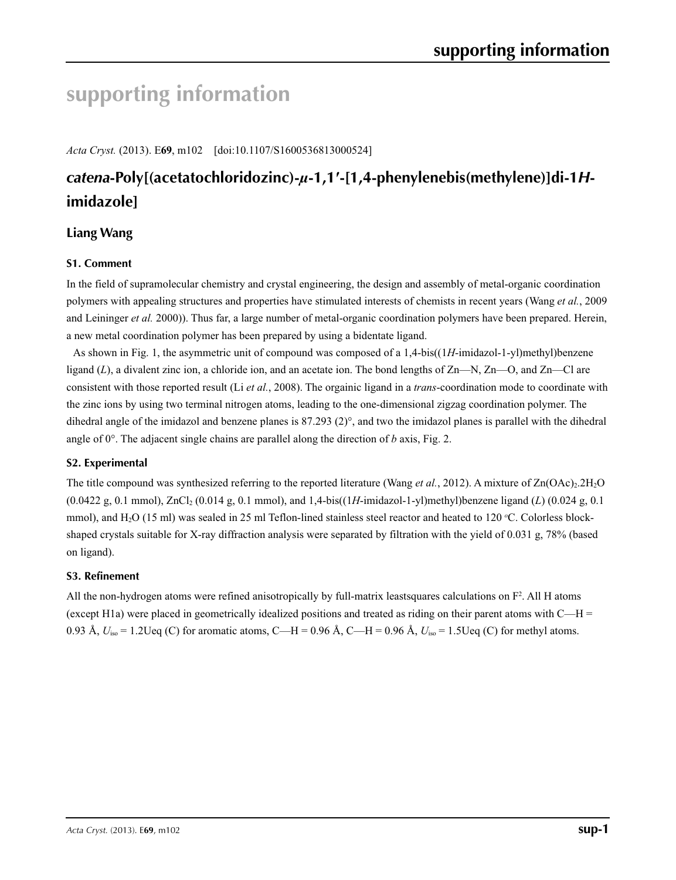# **supporting information**

*Acta Cryst.* (2013). E**69**, m102 [doi:10.1107/S1600536813000524]

# *catena***-Poly[(acetatochloridozinc)-***µ***-1,1′-[1,4-phenylenebis(methylene)]di-1***H***imidazole]**

# **Liang Wang**

# **S1. Comment**

In the field of supramolecular chemistry and crystal engineering, the design and assembly of metal-organic coordination polymers with appealing structures and properties have stimulated interests of chemists in recent years (Wang *et al.*, 2009 and Leininger *et al.* 2000)). Thus far, a large number of metal-organic coordination polymers have been prepared. Herein, a new metal coordination polymer has been prepared by using a bidentate ligand.

As shown in Fig. 1, the asymmetric unit of compound was composed of a 1,4-bis((1*H*-imidazol-1-yl)methyl)benzene ligand (*L*), a divalent zinc ion, a chloride ion, and an acetate ion. The bond lengths of Zn—N, Zn—O, and Zn—Cl are consistent with those reported result (Li *et al.*, 2008). The orgainic ligand in a *trans*-coordination mode to coordinate with the zinc ions by using two terminal nitrogen atoms, leading to the one-dimensional zigzag coordination polymer. The dihedral angle of the imidazol and benzene planes is  $87.293$  (2)°, and two the imidazol planes is parallel with the dihedral angle of  $0^\circ$ . The adjacent single chains are parallel along the direction of *b* axis, Fig. 2.

## **S2. Experimental**

The title compound was synthesized referring to the reported literature (Wang *et al.*, 2012). A mixture of  $Zn(OAc)_{2.}2H_{2}O$ (0.0422 g, 0.1 mmol), ZnCl2 (0.014 g, 0.1 mmol), and 1,4-bis((1*H*-imidazol-1-yl)methyl)benzene ligand (*L*) (0.024 g, 0.1 mmol), and H<sub>2</sub>O (15 ml) was sealed in 25 ml Teflon-lined stainless steel reactor and heated to 120 °C. Colorless blockshaped crystals suitable for X-ray diffraction analysis were separated by filtration with the yield of 0.031 g, 78% (based on ligand).

## **S3. Refinement**

All the non-hydrogen atoms were refined anisotropically by full-matrix leastsquares calculations on  $F^2$ . All H atoms (except H1a) were placed in geometrically idealized positions and treated as riding on their parent atoms with  $C-H =$ 0.93 Å,  $U_{\text{iso}} = 1.2 \text{Ueq (C)}$  for aromatic atoms, C—H = 0.96 Å, C—H = 0.96 Å,  $U_{\text{iso}} = 1.5 \text{Ueq (C)}$  for methyl atoms.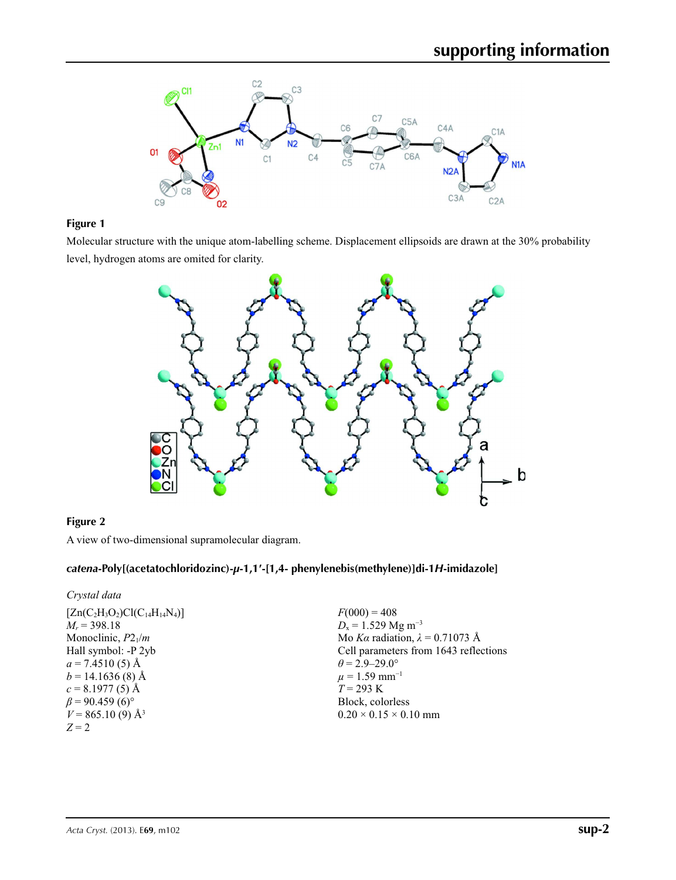

# **Figure 1**

Molecular structure with the unique atom-labelling scheme. Displacement ellipsoids are drawn at the 30% probability level, hydrogen atoms are omited for clarity.



# **Figure 2**

A view of two-dimensional supramolecular diagram.

### *catena***-Poly[(acetatochloridozinc)-***µ***-1,1′-[1,4- phenylenebis(methylene)]di-1***H***-imidazole]**

*Crystal data*

| $[Zn(C_2H_3O_2)Cl(C_{14}H_{14}N_4)]$ | $F(000) = 408$                         |
|--------------------------------------|----------------------------------------|
| $M_r = 398.18$                       | $D_x = 1.529$ Mg m <sup>-3</sup>       |
| Monoclinic, $P2_1/m$                 | Mo Ka radiation, $\lambda = 0.71073$ Å |
| Hall symbol: -P 2yb                  | Cell parameters from 1643 reflections  |
| $a = 7.4510(5)$ Å                    | $\theta$ = 2.9–29.0°                   |
| $b = 14.1636(8)$ Å                   | $\mu = 1.59$ mm <sup>-1</sup>          |
| $c = 8.1977(5)$ Å                    | $T = 293 \text{ K}$                    |
| $\beta$ = 90.459 (6) <sup>o</sup>    | Block, colorless                       |
| $V = 865.10(9)$ Å <sup>3</sup>       | $0.20 \times 0.15 \times 0.10$ mm      |
| $Z=2$                                |                                        |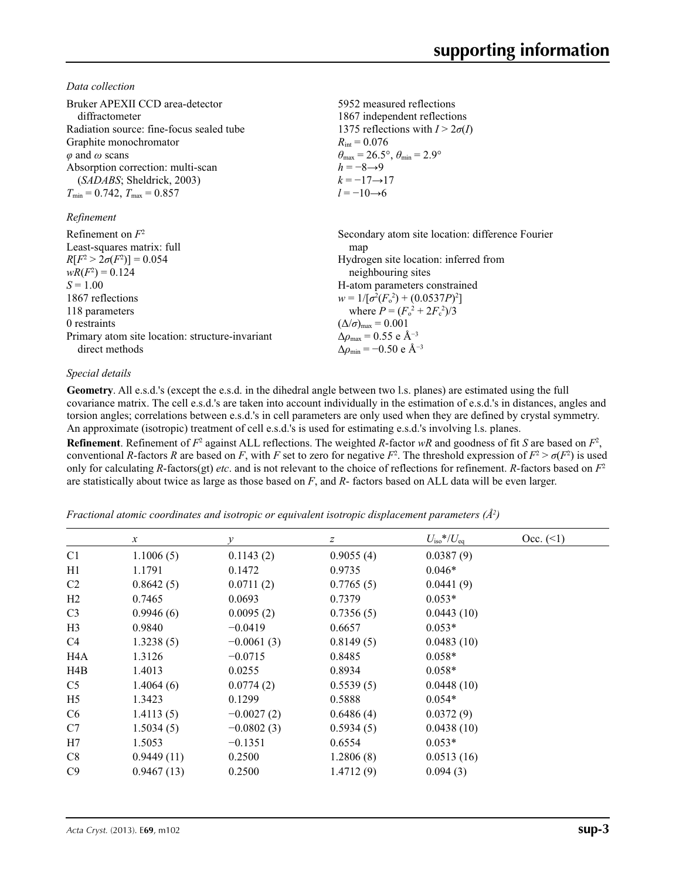*Data collection*

| Bruker APEXII CCD area-detector                 | 5952 measured reflections                                               |
|-------------------------------------------------|-------------------------------------------------------------------------|
| diffractometer                                  | 1867 independent reflections                                            |
| Radiation source: fine-focus sealed tube        | 1375 reflections with $I > 2\sigma(I)$                                  |
| Graphite monochromator                          | $R_{\rm int} = 0.076$                                                   |
| $\varphi$ and $\omega$ scans                    | $\theta_{\text{max}} = 26.5^{\circ}, \theta_{\text{min}} = 2.9^{\circ}$ |
| Absorption correction: multi-scan               | $h = -8 \rightarrow 9$                                                  |
| ( <i>SADABS</i> ; Sheldrick, 2003)              | $k = -17 \rightarrow 17$                                                |
| $T_{\min} = 0.742$ , $T_{\max} = 0.857$         | $l = -10 \rightarrow 6$                                                 |
| Refinement                                      |                                                                         |
| Refinement on $F^2$                             | Secondary atom site location: difference Fourier                        |
| Least-squares matrix: full                      | map                                                                     |
| $R[F^2 > 2\sigma(F^2)] = 0.054$                 | Hydrogen site location: inferred from                                   |
| $wR(F^2) = 0.124$                               | neighbouring sites                                                      |
| $S = 1.00$                                      | H-atom parameters constrained                                           |
| 1867 reflections                                | $w = 1/[\sigma^2(F_0^2) + (0.0537P)^2]$                                 |
| 118 parameters                                  | where $P = (F_o^2 + 2F_c^2)/3$                                          |
| 0 restraints                                    | $(\Delta/\sigma)_{\text{max}} = 0.001$                                  |
| Primary atom site location: structure-invariant | $\Delta\rho_{\text{max}} = 0.55$ e Å <sup>-3</sup>                      |
| direct methods                                  | $\Delta\rho_{\rm min}$ = -0.50 e Å <sup>-3</sup>                        |

### *Special details*

**Geometry**. All e.s.d.'s (except the e.s.d. in the dihedral angle between two l.s. planes) are estimated using the full covariance matrix. The cell e.s.d.'s are taken into account individually in the estimation of e.s.d.'s in distances, angles and torsion angles; correlations between e.s.d.'s in cell parameters are only used when they are defined by crystal symmetry. An approximate (isotropic) treatment of cell e.s.d.'s is used for estimating e.s.d.'s involving l.s. planes.

**Refinement**. Refinement of  $F^2$  against ALL reflections. The weighted *R*-factor  $wR$  and goodness of fit *S* are based on  $F^2$ , conventional *R*-factors *R* are based on *F*, with *F* set to zero for negative  $F^2$ . The threshold expression of  $F^2 > \sigma(F^2)$  is used only for calculating *R*-factors(gt) *etc*. and is not relevant to the choice of reflections for refinement. *R*-factors based on *F*<sup>2</sup> are statistically about twice as large as those based on *F*, and *R*- factors based on ALL data will be even larger.

*Fractional atomic coordinates and isotropic or equivalent isotropic displacement parameters (Å2 )*

|                | $\mathcal{X}$ | $\mathcal{Y}$ | z         | $U_{\text{iso}}$ */ $U_{\text{eq}}$ | Occ. (2) |
|----------------|---------------|---------------|-----------|-------------------------------------|----------|
| C <sub>1</sub> | 1.1006(5)     | 0.1143(2)     | 0.9055(4) | 0.0387(9)                           |          |
| H1             | 1.1791        | 0.1472        | 0.9735    | $0.046*$                            |          |
| C2             | 0.8642(5)     | 0.0711(2)     | 0.7765(5) | 0.0441(9)                           |          |
| H <sub>2</sub> | 0.7465        | 0.0693        | 0.7379    | $0.053*$                            |          |
| C <sub>3</sub> | 0.9946(6)     | 0.0095(2)     | 0.7356(5) | 0.0443(10)                          |          |
| H <sub>3</sub> | 0.9840        | $-0.0419$     | 0.6657    | $0.053*$                            |          |
| C4             | 1.3238(5)     | $-0.0061(3)$  | 0.8149(5) | 0.0483(10)                          |          |
| H4A            | 1.3126        | $-0.0715$     | 0.8485    | $0.058*$                            |          |
| H4B            | 1.4013        | 0.0255        | 0.8934    | $0.058*$                            |          |
| C <sub>5</sub> | 1.4064(6)     | 0.0774(2)     | 0.5539(5) | 0.0448(10)                          |          |
| H <sub>5</sub> | 1.3423        | 0.1299        | 0.5888    | $0.054*$                            |          |
| C <sub>6</sub> | 1.4113(5)     | $-0.0027(2)$  | 0.6486(4) | 0.0372(9)                           |          |
| C7             | 1.5034(5)     | $-0.0802(3)$  | 0.5934(5) | 0.0438(10)                          |          |
| H7             | 1.5053        | $-0.1351$     | 0.6554    | $0.053*$                            |          |
| C8             | 0.9449(11)    | 0.2500        | 1.2806(8) | 0.0513(16)                          |          |
| C9             | 0.9467(13)    | 0.2500        | 1.4712(9) | 0.094(3)                            |          |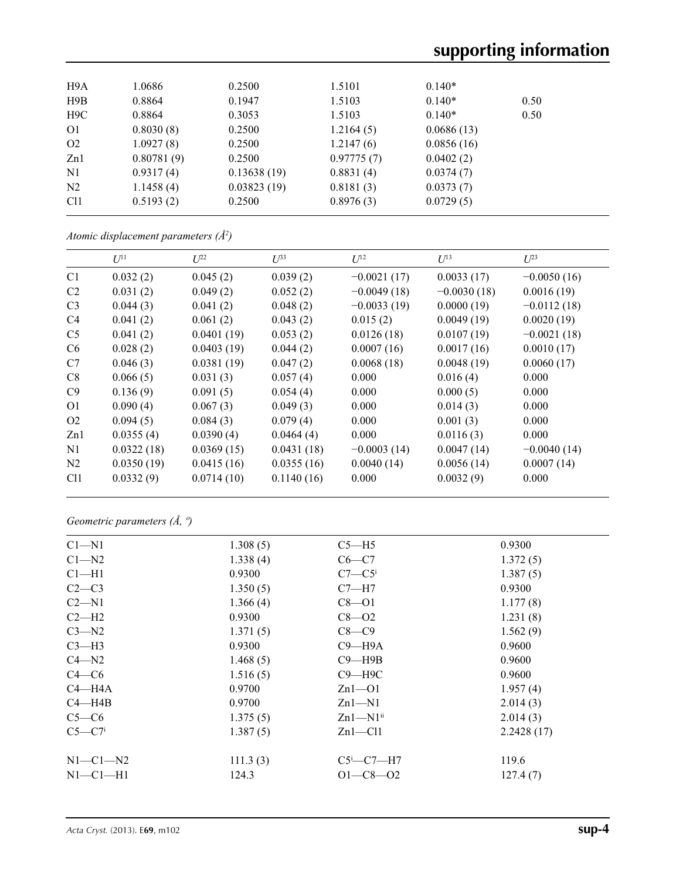# **supporting information**

| H9A             | 1.0686     | 0.2500      | 1.5101     | $0.140*$   |      |  |
|-----------------|------------|-------------|------------|------------|------|--|
| H9B             | 0.8864     | 0.1947      | 1.5103     | $0.140*$   | 0.50 |  |
| H9C             | 0.8864     | 0.3053      | 1.5103     | $0.140*$   | 0.50 |  |
| O <sub>1</sub>  | 0.8030(8)  | 0.2500      | 1.2164(5)  | 0.0686(13) |      |  |
| O <sub>2</sub>  | 1.0927(8)  | 0.2500      | 1.2147(6)  | 0.0856(16) |      |  |
| Zn1             | 0.80781(9) | 0.2500      | 0.97775(7) | 0.0402(2)  |      |  |
| N1              | 0.9317(4)  | 0.13638(19) | 0.8831(4)  | 0.0374(7)  |      |  |
| N <sub>2</sub>  | 1.1458(4)  | 0.03823(19) | 0.8181(3)  | 0.0373(7)  |      |  |
| C <sub>11</sub> | 0.5193(2)  | 0.2500      | 0.8976(3)  | 0.0729(5)  |      |  |
|                 |            |             |            |            |      |  |

*Atomic displacement parameters (Å2 )*

|                | $U^{11}$   | $U^{22}$   | $\overline{L^{33}}$ | $U^{12}$      | $U^{13}$      | $U^{23}$      |
|----------------|------------|------------|---------------------|---------------|---------------|---------------|
| C1             | 0.032(2)   | 0.045(2)   | 0.039(2)            | $-0.0021(17)$ | 0.0033(17)    | $-0.0050(16)$ |
| C <sub>2</sub> | 0.031(2)   | 0.049(2)   | 0.052(2)            | $-0.0049(18)$ | $-0.0030(18)$ | 0.0016(19)    |
| C <sub>3</sub> | 0.044(3)   | 0.041(2)   | 0.048(2)            | $-0.0033(19)$ | 0.0000(19)    | $-0.0112(18)$ |
| C <sub>4</sub> | 0.041(2)   | 0.061(2)   | 0.043(2)            | 0.015(2)      | 0.0049(19)    | 0.0020(19)    |
| C <sub>5</sub> | 0.041(2)   | 0.0401(19) | 0.053(2)            | 0.0126(18)    | 0.0107(19)    | $-0.0021(18)$ |
| C <sub>6</sub> | 0.028(2)   | 0.0403(19) | 0.044(2)            | 0.0007(16)    | 0.0017(16)    | 0.0010(17)    |
| C7             | 0.046(3)   | 0.0381(19) | 0.047(2)            | 0.0068(18)    | 0.0048(19)    | 0.0060(17)    |
| C8             | 0.066(5)   | 0.031(3)   | 0.057(4)            | 0.000         | 0.016(4)      | 0.000         |
| C9             | 0.136(9)   | 0.091(5)   | 0.054(4)            | 0.000         | 0.000(5)      | 0.000         |
| O <sub>1</sub> | 0.090(4)   | 0.067(3)   | 0.049(3)            | 0.000         | 0.014(3)      | 0.000         |
| O <sub>2</sub> | 0.094(5)   | 0.084(3)   | 0.079(4)            | 0.000         | 0.001(3)      | 0.000         |
| Zn1            | 0.0355(4)  | 0.0390(4)  | 0.0464(4)           | 0.000         | 0.0116(3)     | 0.000         |
| N1             | 0.0322(18) | 0.0369(15) | 0.0431(18)          | $-0.0003(14)$ | 0.0047(14)    | $-0.0040(14)$ |
| N <sub>2</sub> | 0.0350(19) | 0.0415(16) | 0.0355(16)          | 0.0040(14)    | 0.0056(14)    | 0.0007(14)    |
| C11            | 0.0332(9)  | 0.0714(10) | 0.1140(16)          | 0.000         | 0.0032(9)     | 0.000         |
|                |            |            |                     |               |               |               |

*Geometric parameters (Å, º)*

| $Cl - N1$  | 1.308(5) | $C5 - H5$              | 0.9300     |
|------------|----------|------------------------|------------|
| $C1 - N2$  | 1.338(4) | $C6-C7$                | 1.372(5)   |
| $Cl-H1$    | 0.9300   | $C7-C5$                | 1.387(5)   |
| $C2-C3$    | 1.350(5) | $C7 - H7$              | 0.9300     |
| $C2 - N1$  | 1.366(4) | $C8 - O1$              | 1.177(8)   |
| $C2-H2$    | 0.9300   | $C8 - O2$              | 1.231(8)   |
| $C3-M2$    | 1.371(5) | $C8-C9$                | 1.562(9)   |
| $C3-H3$    | 0.9300   | $C9 - H9A$             | 0.9600     |
| $C4 - N2$  | 1.468(5) | $C9 - H9B$             | 0.9600     |
| $C4 - C6$  | 1.516(5) | $C9 - H9C$             | 0.9600     |
| $C4 - H4A$ | 0.9700   | $Zn1 - O1$             | 1.957(4)   |
| $C4 - H4B$ | 0.9700   | $Zn1-M1$               | 2.014(3)   |
| $C5-C6$    | 1.375(5) | $Zn1-M1$ <sup>ii</sup> | 2.014(3)   |
| $C5-C7i$   | 1.387(5) | $Zn1$ - $Cl1$          | 2.2428(17) |
|            |          |                        |            |
| $N1-C1-N2$ | 111.3(3) | $C5^i$ - $C7$ -H7      | 119.6      |
| $N1-C1-H1$ | 124.3    | $O1 - C8 - O2$         | 127.4(7)   |
|            |          |                        |            |